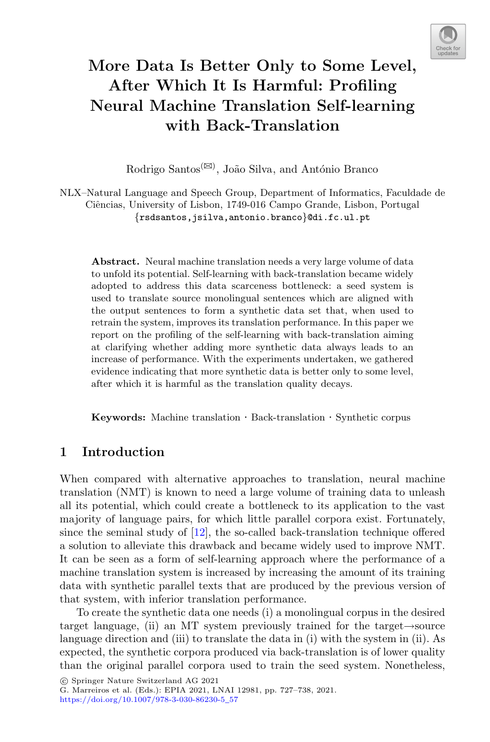

# **More Data Is Better Only to Some Level, After Which It Is Harmful: Profiling Neural Machine Translation Self-learning with Back-Translation**

Rodrigo Santos<sup>( $\boxtimes$ )</sup>, João Silva, and António Branco

NLX–Natural Language and Speech Group, Department of Informatics, Faculdade de Ciências, University of Lisbon, 1749-016 Campo Grande, Lisbon, Portugal {rsdsantos,jsilva,antonio.branco}@di.fc.ul.pt

**Abstract.** Neural machine translation needs a very large volume of data to unfold its potential. Self-learning with back-translation became widely adopted to address this data scarceness bottleneck: a seed system is used to translate source monolingual sentences which are aligned with the output sentences to form a synthetic data set that, when used to retrain the system, improves its translation performance. In this paper we report on the profiling of the self-learning with back-translation aiming at clarifying whether adding more synthetic data always leads to an increase of performance. With the experiments undertaken, we gathered evidence indicating that more synthetic data is better only to some level, after which it is harmful as the translation quality decays.

**Keywords:** Machine translation · Back-translation · Synthetic corpus

# **1 Introduction**

When compared with alternative approaches to translation, neural machine translation (NMT) is known to need a large volume of training data to unleash all its potential, which could create a bottleneck to its application to the vast majority of language pairs, for which little parallel corpora exist. Fortunately, since the seminal study of [\[12](#page-11-0)], the so-called back-translation technique offered a solution to alleviate this drawback and became widely used to improve NMT. It can be seen as a form of self-learning approach where the performance of a machine translation system is increased by increasing the amount of its training data with synthetic parallel texts that are produced by the previous version of that system, with inferior translation performance.

To create the synthetic data one needs (i) a monolingual corpus in the desired target language, (ii) an MT system previously trained for the target→source language direction and (iii) to translate the data in (i) with the system in (ii). As expected, the synthetic corpora produced via back-translation is of lower quality than the original parallel corpora used to train the seed system. Nonetheless,

-c Springer Nature Switzerland AG 2021

G. Marreiros et al. (Eds.): EPIA 2021, LNAI 12981, pp. 727–738, 2021. [https://doi.org/10.1007/978-3-030-86230-5](https://doi.org/10.1007/978-3-030-86230-5_57)\_57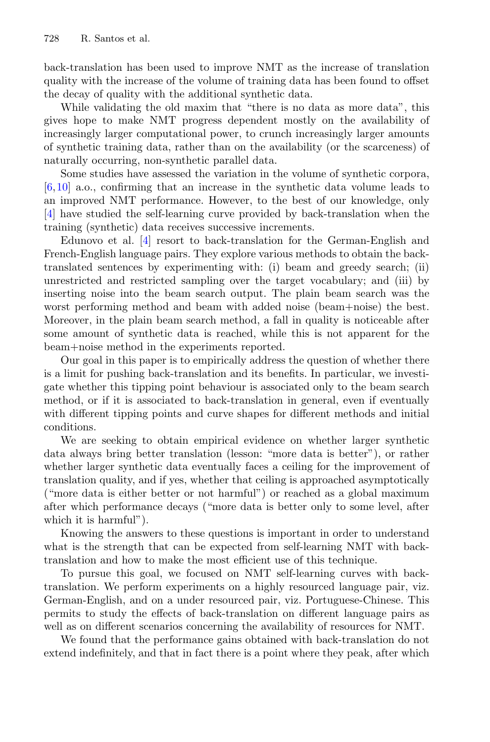back-translation has been used to improve NMT as the increase of translation quality with the increase of the volume of training data has been found to offset the decay of quality with the additional synthetic data.

While validating the old maxim that "there is no data as more data", this gives hope to make NMT progress dependent mostly on the availability of increasingly larger computational power, to crunch increasingly larger amounts of synthetic training data, rather than on the availability (or the scarceness) of naturally occurring, non-synthetic parallel data.

Some studies have assessed the variation in the volume of synthetic corpora, [\[6](#page-11-1),[10\]](#page-11-2) a.o., confirming that an increase in the synthetic data volume leads to an improved NMT performance. However, to the best of our knowledge, only [\[4](#page-11-3)] have studied the self-learning curve provided by back-translation when the training (synthetic) data receives successive increments.

Edunovo et al. [\[4](#page-11-3)] resort to back-translation for the German-English and French-English language pairs. They explore various methods to obtain the backtranslated sentences by experimenting with: (i) beam and greedy search; (ii) unrestricted and restricted sampling over the target vocabulary; and (iii) by inserting noise into the beam search output. The plain beam search was the worst performing method and beam with added noise (beam+noise) the best. Moreover, in the plain beam search method, a fall in quality is noticeable after some amount of synthetic data is reached, while this is not apparent for the beam+noise method in the experiments reported.

Our goal in this paper is to empirically address the question of whether there is a limit for pushing back-translation and its benefits. In particular, we investigate whether this tipping point behaviour is associated only to the beam search method, or if it is associated to back-translation in general, even if eventually with different tipping points and curve shapes for different methods and initial conditions.

We are seeking to obtain empirical evidence on whether larger synthetic data always bring better translation (lesson: "more data is better"), or rather whether larger synthetic data eventually faces a ceiling for the improvement of translation quality, and if yes, whether that ceiling is approached asymptotically ("more data is either better or not harmful") or reached as a global maximum after which performance decays ("more data is better only to some level, after which it is harmful").

Knowing the answers to these questions is important in order to understand what is the strength that can be expected from self-learning NMT with backtranslation and how to make the most efficient use of this technique.

To pursue this goal, we focused on NMT self-learning curves with backtranslation. We perform experiments on a highly resourced language pair, viz. German-English, and on a under resourced pair, viz. Portuguese-Chinese. This permits to study the effects of back-translation on different language pairs as well as on different scenarios concerning the availability of resources for NMT.

We found that the performance gains obtained with back-translation do not extend indefinitely, and that in fact there is a point where they peak, after which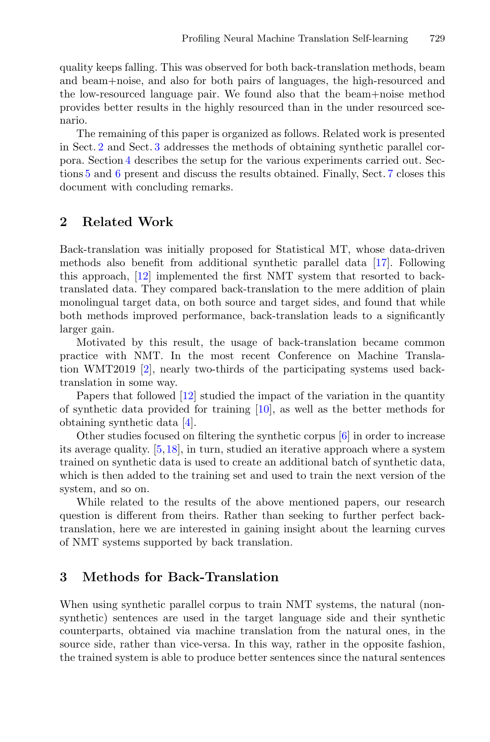quality keeps falling. This was observed for both back-translation methods, beam and beam+noise, and also for both pairs of languages, the high-resourced and the low-resourced language pair. We found also that the beam+noise method provides better results in the highly resourced than in the under resourced scenario.

The remaining of this paper is organized as follows. Related work is presented in Sect. [2](#page-2-0) and Sect. [3](#page-2-1) addresses the methods of obtaining synthetic parallel corpora. Section [4](#page-5-0) describes the setup for the various experiments carried out. Sections [5](#page-7-0) and [6](#page-9-0) present and discuss the results obtained. Finally, Sect. [7](#page-10-0) closes this document with concluding remarks.

# <span id="page-2-0"></span>**2 Related Work**

Back-translation was initially proposed for Statistical MT, whose data-driven methods also benefit from additional synthetic parallel data [\[17](#page-11-4)]. Following this approach, [\[12](#page-11-0)] implemented the first NMT system that resorted to backtranslated data. They compared back-translation to the mere addition of plain monolingual target data, on both source and target sides, and found that while both methods improved performance, back-translation leads to a significantly larger gain.

Motivated by this result, the usage of back-translation became common practice with NMT. In the most recent Conference on Machine Translation WMT2019 [\[2\]](#page-11-5), nearly two-thirds of the participating systems used backtranslation in some way.

Papers that followed [\[12\]](#page-11-0) studied the impact of the variation in the quantity of synthetic data provided for training [\[10\]](#page-11-2), as well as the better methods for obtaining synthetic data [\[4\]](#page-11-3).

Other studies focused on filtering the synthetic corpus [\[6](#page-11-1)] in order to increase its average quality. [\[5](#page-11-6)[,18](#page-11-7)], in turn, studied an iterative approach where a system trained on synthetic data is used to create an additional batch of synthetic data, which is then added to the training set and used to train the next version of the system, and so on.

While related to the results of the above mentioned papers, our research question is different from theirs. Rather than seeking to further perfect backtranslation, here we are interested in gaining insight about the learning curves of NMT systems supported by back translation.

# <span id="page-2-1"></span>**3 Methods for Back-Translation**

When using synthetic parallel corpus to train NMT systems, the natural (nonsynthetic) sentences are used in the target language side and their synthetic counterparts, obtained via machine translation from the natural ones, in the source side, rather than vice-versa. In this way, rather in the opposite fashion, the trained system is able to produce better sentences since the natural sentences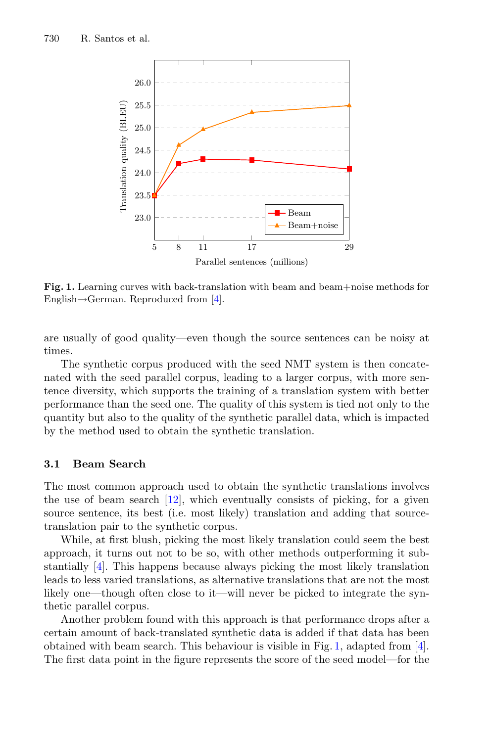

<span id="page-3-0"></span>**Fig. 1.** Learning curves with back-translation with beam and beam+noise methods for English $\rightarrow$ German. Reproduced from [\[4\]](#page-11-3).

are usually of good quality—even though the source sentences can be noisy at times.

The synthetic corpus produced with the seed NMT system is then concatenated with the seed parallel corpus, leading to a larger corpus, with more sentence diversity, which supports the training of a translation system with better performance than the seed one. The quality of this system is tied not only to the quantity but also to the quality of the synthetic parallel data, which is impacted by the method used to obtain the synthetic translation.

The most common approach used to obtain the synthetic translations involves the use of beam search  $[12]$  $[12]$ , which eventually consists of picking, for a given source sentence, its best (i.e. most likely) translation and adding that sourcetranslation pair to the synthetic corpus.

While, at first blush, picking the most likely translation could seem the best approach, it turns out not to be so, with other methods outperforming it substantially [\[4](#page-11-3)]. This happens because always picking the most likely translation leads to less varied translations, as alternative translations that are not the most likely one—though often close to it—will never be picked to integrate the synthetic parallel corpus.

Another problem found with this approach is that performance drops after a certain amount of back-translated synthetic data is added if that data has been obtained with beam search. This behaviour is visible in Fig. [1,](#page-3-0) adapted from [\[4\]](#page-11-3). The first data point in the figure represents the score of the seed model—for the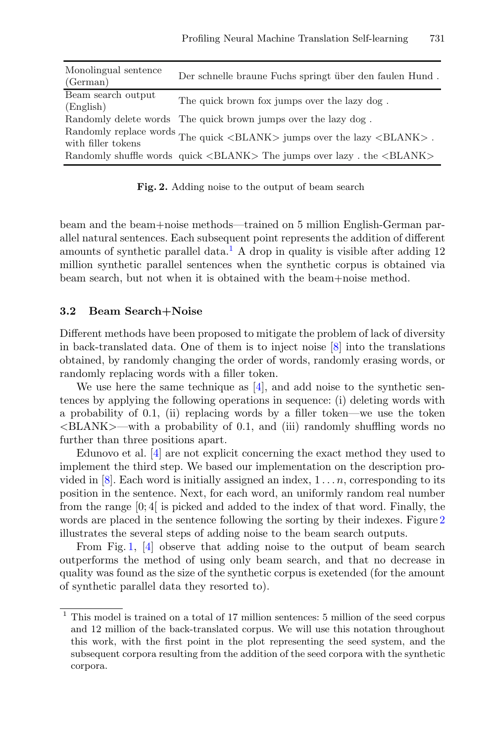| Monolingual sentence<br>(German) | Der schnelle braune Fuchs springt über den faulen Hund.                                                 |
|----------------------------------|---------------------------------------------------------------------------------------------------------|
| Beam search output               | The quick brown fox jumps over the lazy dog.                                                            |
| (English)                        | Randomly delete words The quick brown jumps over the lazy dog.                                          |
|                                  | Randomly replace words $\,$ The quick $\rm {<}BLANK\rm {>}$ jumps over the lazy $\rm {<}BLANK\rm {>}$ . |
|                                  | Randomly shuffle words quick <blank> The jumps over lazy. the <blank></blank></blank>                   |

<span id="page-4-1"></span>**Fig. 2.** Adding noise to the output of beam search

beam and the beam+noise methods—trained on 5 million English-German parallel natural sentences. Each subsequent point represents the addition of different amounts of synthetic parallel data.<sup>[1](#page-4-0)</sup> A drop in quality is visible after adding  $12$ million synthetic parallel sentences when the synthetic corpus is obtained via beam search, but not when it is obtained with the beam+noise method.

### $3.2$ **3.2 Beam Search+Noise**

Different methods have been proposed to mitigate the problem of lack of diversity in back-translated data. One of them is to inject noise [\[8](#page-11-8)] into the translations obtained, by randomly changing the order of words, randomly erasing words, or randomly replacing words with a filler token.

We use here the same technique as  $[4]$ , and add noise to the synthetic sentences by applying the following operations in sequence: (i) deleting words with a probability of 0.1, (ii) replacing words by a filler token—we use the token *<*BLANK*>*—with a probability of 0.1, and (iii) randomly shuffling words no further than three positions apart.

Edunovo et al. [\[4](#page-11-3)] are not explicit concerning the exact method they used to implement the third step. We based our implementation on the description provided in  $[8]$ . Each word is initially assigned an index,  $1 \ldots n$ , corresponding to its position in the sentence. Next, for each word, an uniformly random real number from the range [0; 4[ is picked and added to the index of that word. Finally, the words are placed in the sentence following the sorting by their indexes. Figure [2](#page-4-1) illustrates the several steps of adding noise to the beam search outputs.

From Fig. [1,](#page-3-0) [\[4](#page-11-3)] observe that adding noise to the output of beam search outperforms the method of using only beam search, and that no decrease in quality was found as the size of the synthetic corpus is exetended (for the amount of synthetic parallel data they resorted to).

<span id="page-4-0"></span><sup>&</sup>lt;sup>1</sup> This model is trained on a total of 17 million sentences: 5 million of the seed corpus and 12 million of the back-translated corpus. We will use this notation throughout this work, with the first point in the plot representing the seed system, and the subsequent corpora resulting from the addition of the seed corpora with the synthetic corpora.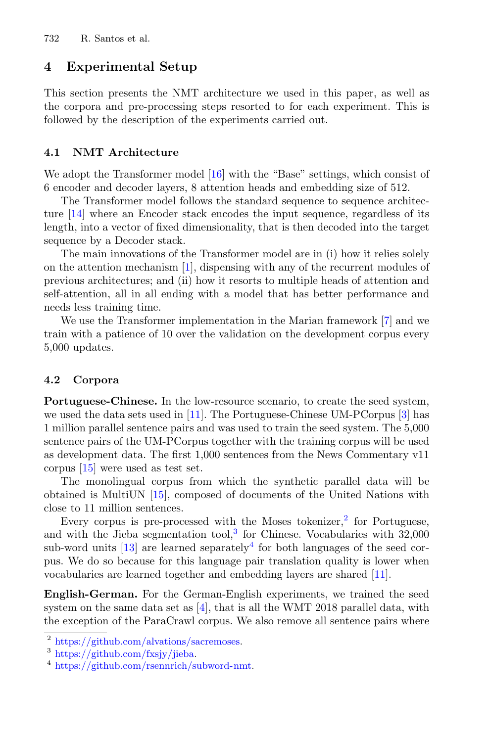# <span id="page-5-0"></span>**4 Experimental Setup**

This section presents the NMT architecture we used in this paper, as well as the corpora and pre-processing steps resorted to for each experiment. This is followed by the description of the experiments carried out.

#### $4.1$ **NMT** Architecture

We adopt the Transformer model [\[16](#page-11-9)] with the "Base" settings, which consist of 6 encoder and decoder layers, 8 attention heads and embedding size of 512.

The Transformer model follows the standard sequence to sequence architecture [\[14\]](#page-11-10) where an Encoder stack encodes the input sequence, regardless of its length, into a vector of fixed dimensionality, that is then decoded into the target sequence by a Decoder stack.

The main innovations of the Transformer model are in (i) how it relies solely on the attention mechanism [\[1\]](#page-11-11), dispensing with any of the recurrent modules of previous architectures; and (ii) how it resorts to multiple heads of attention and self-attention, all in all ending with a model that has better performance and needs less training time.

We use the Transformer implementation in the Marian framework [\[7](#page-11-12)] and we train with a patience of 10 over the validation on the development corpus every 5,000 updates.

### $4.2$ **4.2 Corpora**

**Portuguese-Chinese.** In the low-resource scenario, to create the seed system, we used the data sets used in [\[11](#page-11-13)]. The Portuguese-Chinese UM-PCorpus [\[3](#page-11-14)] has 1 million parallel sentence pairs and was used to train the seed system. The 5,000 sentence pairs of the UM-PCorpus together with the training corpus will be used as development data. The first 1,000 sentences from the News Commentary v11 corpus [\[15\]](#page-11-15) were used as test set.

The monolingual corpus from which the synthetic parallel data will be obtained is MultiUN [\[15](#page-11-15)], composed of documents of the United Nations with close to 11 million sentences.

Every corpus is pre-processed with the Moses tokenizer, $\frac{2}{3}$  $\frac{2}{3}$  $\frac{2}{3}$  for Portuguese, and with the Jieba segmentation tool,<sup>[3](#page-5-2)</sup> for Chinese. Vocabularies with  $32,000$ sub-word units  $[13]$  are learned separately<sup>[4](#page-5-3)</sup> for both languages of the seed corpus. We do so because for this language pair translation quality is lower when vocabularies are learned together and embedding layers are shared [\[11\]](#page-11-13).

**English-German.** For the German-English experiments, we trained the seed system on the same data set as  $[4]$ , that is all the WMT 2018 parallel data, with the exception of the ParaCrawl corpus. We also remove all sentence pairs where

<span id="page-5-1"></span><sup>2</sup> [https://github.com/alvations/sacremoses.](https://github.com/alvations/sacremoses)

<span id="page-5-2"></span><sup>3</sup> [https://github.com/fxsjy/jieba.](https://github.com/fxsjy/jieba)

<span id="page-5-3"></span><sup>4</sup> [https://github.com/rsennrich/subword-nmt.](https://github.com/rsennrich/subword-nmt)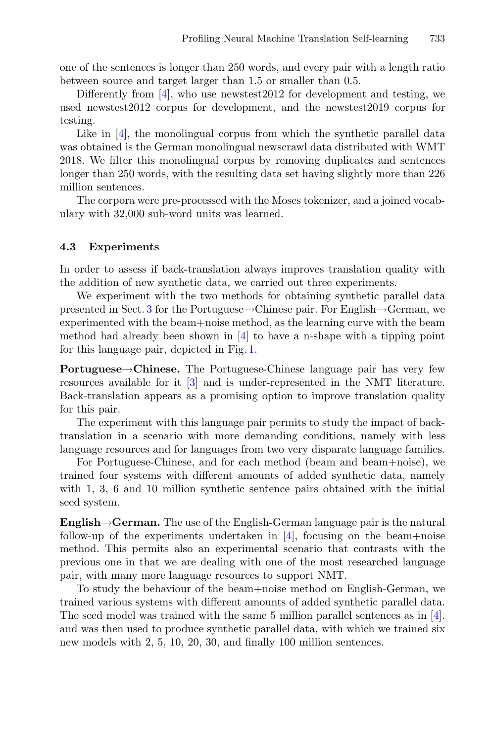one of the sentences is longer than 250 words, and every pair with a length ratio between source and target larger than 1.5 or smaller than 0.5.

Differently from  $[4]$ , who use newstest 2012 for development and testing, we used newstest2012 corpus for development, and the newstest2019 corpus for testing.

Like in  $[4]$  $[4]$ , the monolingual corpus from which the synthetic parallel data was obtained is the German monolingual newscrawl data distributed with WMT 2018. We filter this monolingual corpus by removing duplicates and sentences longer than 250 words, with the resulting data set having slightly more than 226 million sentences.

The corpora were pre-processed with the Moses tokenizer, and a joined vocabulary with 32,000 sub-word units was learned.

### 4.3 **4.3 Experiments**

In order to assess if back-translation always improves translation quality with the addition of new synthetic data, we carried out three experiments.

We experiment with the two methods for obtaining synthetic parallel data presented in Sect. [3](#page-2-1) for the Portuguese→Chinese pair. For English→German, we experimented with the beam+noise method, as the learning curve with the beam method had already been shown in  $[4]$  to have a n-shape with a tipping point for this language pair, depicted in Fig. [1.](#page-3-0)

**Portuguese**→**Chinese.** The Portuguese-Chinese language pair has very few resources available for it [\[3](#page-11-14)] and is under-represented in the NMT literature. Back-translation appears as a promising option to improve translation quality for this pair.

The experiment with this language pair permits to study the impact of backtranslation in a scenario with more demanding conditions, namely with less language resources and for languages from two very disparate language families.

For Portuguese-Chinese, and for each method (beam and beam+noise), we trained four systems with different amounts of added synthetic data, namely with 1, 3, 6 and 10 million synthetic sentence pairs obtained with the initial seed system.

**English**→**German.** The use of the English-German language pair is the natural follow-up of the experiments undertaken in  $[4]$ , focusing on the beam+noise method. This permits also an experimental scenario that contrasts with the previous one in that we are dealing with one of the most researched language pair, with many more language resources to support NMT.

To study the behaviour of the beam+noise method on English-German, we trained various systems with different amounts of added synthetic parallel data. The seed model was trained with the same 5 million parallel sentences as in [\[4\]](#page-11-3). and was then used to produce synthetic parallel data, with which we trained six new models with 2, 5, 10, 20, 30, and finally 100 million sentences.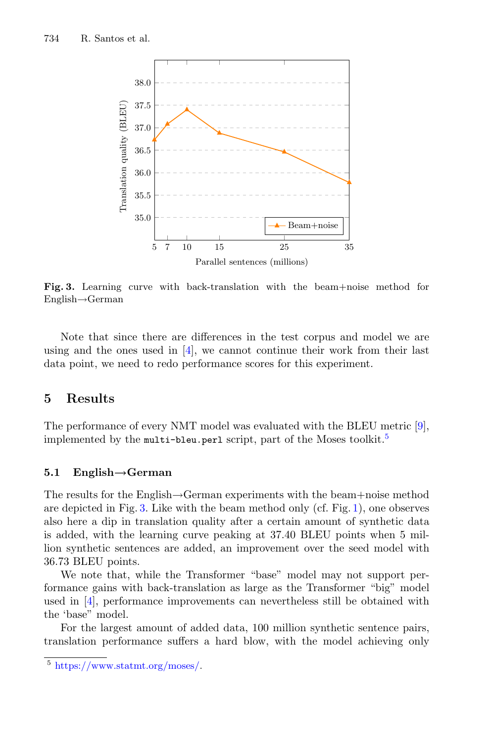

<span id="page-7-2"></span>**Fig. 3.** Learning curve with back-translation with the beam+noise method for English→German

Note that since there are differences in the test corpus and model we are using and the ones used in  $[4]$  $[4]$ , we cannot continue their work from their last data point, we need to redo performance scores for this experiment.

# <span id="page-7-0"></span>**5 Results**

The performance of every NMT model was evaluated with the BLEU metric [\[9\]](#page-11-17), implemented by the multi-bleu.perl script, part of the Moses toolkit.<sup>[5](#page-7-1)</sup>

## **5.1 English***→***German**

The results for the English→German experiments with the beam+noise method are depicted in Fig. [3.](#page-7-2) Like with the beam method only (cf. Fig. [1\)](#page-3-0), one observes also here a dip in translation quality after a certain amount of synthetic data is added, with the learning curve peaking at 37.40 BLEU points when 5 million synthetic sentences are added, an improvement over the seed model with 36.73 BLEU points.

We note that, while the Transformer "base" model may not support performance gains with back-translation as large as the Transformer "big" model used in [\[4\]](#page-11-3), performance improvements can nevertheless still be obtained with the 'base" model.

For the largest amount of added data, 100 million synthetic sentence pairs, translation performance suffers a hard blow, with the model achieving only

<span id="page-7-1"></span><sup>5</sup> [https://www.statmt.org/moses/.](https://www.statmt.org/moses/)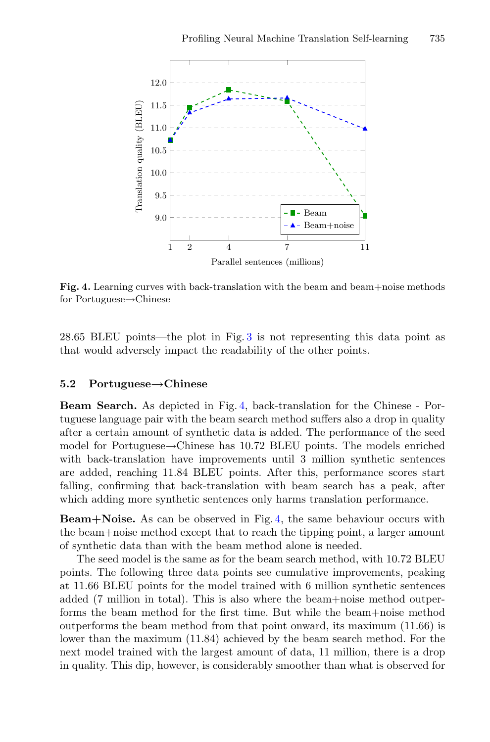

<span id="page-8-0"></span>**Fig. 4.** Learning curves with back-translation with the beam and beam+noise methods for Portuguese→Chinese

28.65 BLEU points—the plot in Fig. [3](#page-7-2) is not representing this data point as that would adversely impact the readability of the other points.

## **5.2 Portuguese***→***Chinese**

**Beam Search.** As depicted in Fig. [4,](#page-8-0) back-translation for the Chinese - Portuguese language pair with the beam search method suffers also a drop in quality after a certain amount of synthetic data is added. The performance of the seed model for Portuguese→Chinese has 10.72 BLEU points. The models enriched with back-translation have improvements until 3 million synthetic sentences are added, reaching 11.84 BLEU points. After this, performance scores start falling, confirming that back-translation with beam search has a peak, after which adding more synthetic sentences only harms translation performance.

**Beam+Noise.** As can be observed in Fig. [4,](#page-8-0) the same behaviour occurs with the beam+noise method except that to reach the tipping point, a larger amount of synthetic data than with the beam method alone is needed.

The seed model is the same as for the beam search method, with 10.72 BLEU points. The following three data points see cumulative improvements, peaking at 11.66 BLEU points for the model trained with 6 million synthetic sentences added (7 million in total). This is also where the beam+noise method outperforms the beam method for the first time. But while the beam+noise method outperforms the beam method from that point onward, its maximum (11.66) is lower than the maximum (11.84) achieved by the beam search method. For the next model trained with the largest amount of data, 11 million, there is a drop in quality. This dip, however, is considerably smoother than what is observed for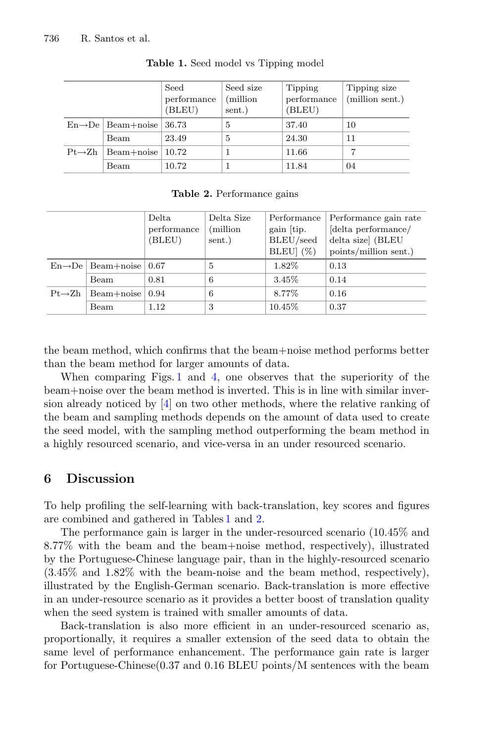|                     |                                       | Seed<br>performance<br>(BLEU) | Seed size<br>(million)<br>sent.) | <b>Tipping</b><br>performance<br>(BLEU) | Tipping size<br>(million sent.) |
|---------------------|---------------------------------------|-------------------------------|----------------------------------|-----------------------------------------|---------------------------------|
|                     | $En \rightarrow De \mid Bean + noise$ | 36.73                         | 5                                | 37.40                                   | 10                              |
|                     | Beam                                  | 23.49                         | 5                                | 24.30                                   | 11                              |
| $Pt \rightarrow Zh$ | Beam+noise                            | 10.72                         |                                  | 11.66                                   | 7                               |
|                     | Beam                                  | 10.72                         |                                  | 11.84                                   | 04                              |

<span id="page-9-1"></span>**Table 1.** Seed model vs Tipping model

<span id="page-9-2"></span>**Table 2.** Performance gains

|                     |                                                 | Delta<br>performance<br>(BLEU) | Delta Size<br>million)<br>sent.) | Performance<br>gain tip.<br>BLEU/seed<br>$BLEU]$ $(\%)$ | Performance gain rate<br>delta performance/<br>delta size (BLEU<br>points/million sent.) |
|---------------------|-------------------------------------------------|--------------------------------|----------------------------------|---------------------------------------------------------|------------------------------------------------------------------------------------------|
|                     | $En \rightarrow De \mid Bean + noise \mid 0.67$ |                                | 5                                | 1.82\%                                                  | 0.13                                                                                     |
|                     | Beam                                            | 0.81                           | 6                                | 3.45\%                                                  | 0.14                                                                                     |
| $Pt \rightarrow Zh$ | Beam+noise                                      | 0.94                           | 6                                | 8.77%                                                   | 0.16                                                                                     |
|                     | Beam                                            | 1.12                           | 3                                | 10.45\%                                                 | 0.37                                                                                     |

the beam method, which confirms that the beam+noise method performs better than the beam method for larger amounts of data.

When comparing Figs. [1](#page-3-0) and [4,](#page-8-0) one observes that the superiority of the beam+noise over the beam method is inverted. This is in line with similar inversion already noticed by [\[4\]](#page-11-3) on two other methods, where the relative ranking of the beam and sampling methods depends on the amount of data used to create the seed model, with the sampling method outperforming the beam method in a highly resourced scenario, and vice-versa in an under resourced scenario.

# <span id="page-9-0"></span>**6 Discussion**

To help profiling the self-learning with back-translation, key scores and figures are combined and gathered in Tables [1](#page-9-1) and [2.](#page-9-2)

The performance gain is larger in the under-resourced scenario (10.45% and 8.77% with the beam and the beam+noise method, respectively), illustrated by the Portuguese-Chinese language pair, than in the highly-resourced scenario (3.45% and 1.82% with the beam-noise and the beam method, respectively), illustrated by the English-German scenario. Back-translation is more effective in an under-resource scenario as it provides a better boost of translation quality when the seed system is trained with smaller amounts of data.

Back-translation is also more efficient in an under-resourced scenario as, proportionally, it requires a smaller extension of the seed data to obtain the same level of performance enhancement. The performance gain rate is larger for Portuguese-Chinese(0.37 and 0.16 BLEU points*/*M sentences with the beam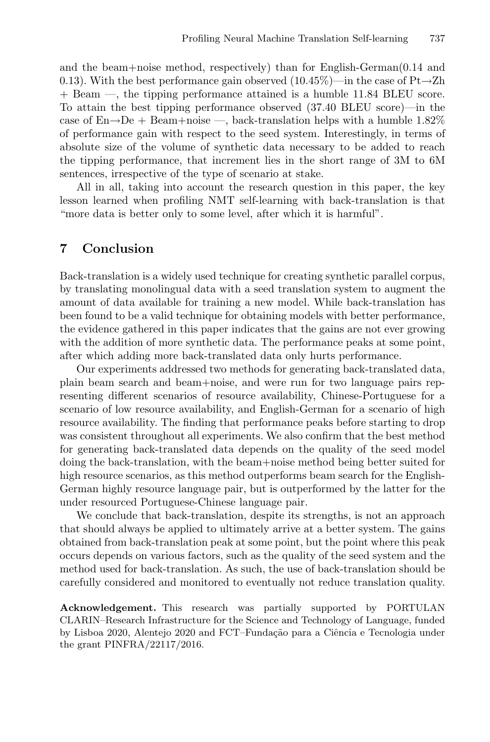and the beam+noise method, respectively) than for English-German(0.14 and 0.13). With the best performance gain observed  $(10.45\%)$ —in the case of Pt $\rightarrow$ Zh + Beam —, the tipping performance attained is a humble 11.84 BLEU score. To attain the best tipping performance observed (37.40 BLEU score)—in the case of  $En \rightarrow De + Beam + noise \rightarrow$ , back-translation helps with a humble 1.82% of performance gain with respect to the seed system. Interestingly, in terms of absolute size of the volume of synthetic data necessary to be added to reach the tipping performance, that increment lies in the short range of 3M to 6M sentences, irrespective of the type of scenario at stake.

All in all, taking into account the research question in this paper, the key lesson learned when profiling NMT self-learning with back-translation is that "more data is better only to some level, after which it is harmful".

# <span id="page-10-0"></span>**7 Conclusion**

Back-translation is a widely used technique for creating synthetic parallel corpus, by translating monolingual data with a seed translation system to augment the amount of data available for training a new model. While back-translation has been found to be a valid technique for obtaining models with better performance, the evidence gathered in this paper indicates that the gains are not ever growing with the addition of more synthetic data. The performance peaks at some point, after which adding more back-translated data only hurts performance.

Our experiments addressed two methods for generating back-translated data, plain beam search and beam+noise, and were run for two language pairs representing different scenarios of resource availability, Chinese-Portuguese for a scenario of low resource availability, and English-German for a scenario of high resource availability. The finding that performance peaks before starting to drop was consistent throughout all experiments. We also confirm that the best method for generating back-translated data depends on the quality of the seed model doing the back-translation, with the beam+noise method being better suited for high resource scenarios, as this method outperforms beam search for the English-German highly resource language pair, but is outperformed by the latter for the under resourced Portuguese-Chinese language pair.

We conclude that back-translation, despite its strengths, is not an approach that should always be applied to ultimately arrive at a better system. The gains obtained from back-translation peak at some point, but the point where this peak occurs depends on various factors, such as the quality of the seed system and the method used for back-translation. As such, the use of back-translation should be carefully considered and monitored to eventually not reduce translation quality.

**Acknowledgement.** This research was partially supported by PORTULAN CLARIN–Research Infrastructure for the Science and Technology of Language, funded by Lisboa 2020, Alentejo 2020 and FCT–Fundação para a Ciência e Tecnologia under the grant PINFRA/22117/2016.